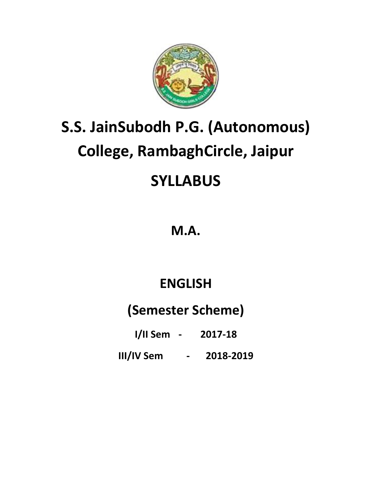

# **S.S. JainSubodh P.G. (Autonomous) College, RambaghCircle, Jaipur SYLLABUS**

### **M.A.**

## **ENGLISH**

### **(Semester Scheme)**

**I/II Sem - 2017-18**

**III/IV Sem - 2018-2019**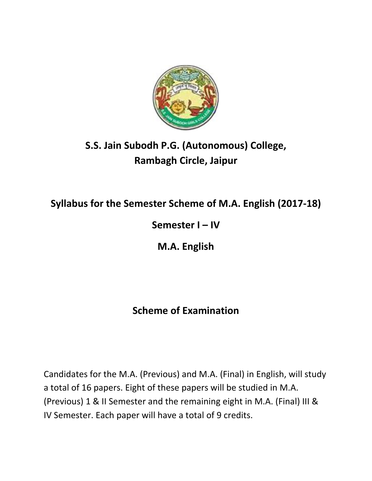

### **S.S. Jain Subodh P.G. (Autonomous) College, Rambagh Circle, Jaipur**

### **Syllabus for the Semester Scheme of M.A. English (2017-18)**

### **Semester I – IV**

**M.A. English** 

### **Scheme of Examination**

Candidates for the M.A. (Previous) and M.A. (Final) in English, will study a total of 16 papers. Eight of these papers will be studied in M.A. (Previous) 1 & II Semester and the remaining eight in M.A. (Final) III & IV Semester. Each paper will have a total of 9 credits.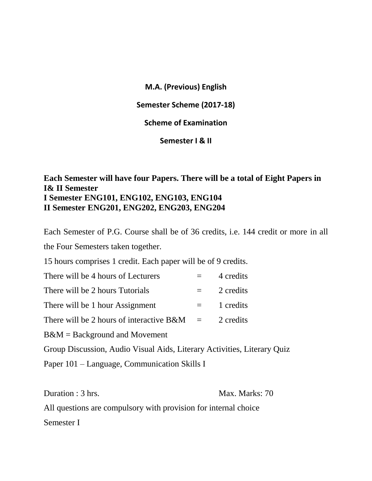**M.A. (Previous) English**

**Semester Scheme (2017-18)**

**Scheme of Examination**

**Semester I & II**

#### **Each Semester will have four Papers. There will be a total of Eight Papers in I& II Semester I Semester ENG101, ENG102, ENG103, ENG104 II Semester ENG201, ENG202, ENG203, ENG204**

Each Semester of P.G. Course shall be of 36 credits, i.e. 144 credit or more in all the Four Semesters taken together.

15 hours comprises 1 credit. Each paper will be of 9 credits.

| There will be 4 hours of Lecturers            |     | 4 credits |
|-----------------------------------------------|-----|-----------|
| There will be 2 hours Tutorials               |     | 2 credits |
| There will be 1 hour Assignment               | $=$ | 1 credits |
| There will be 2 hours of interactive $B\&M =$ |     | 2 credits |
| $B\&M =$ Background and Movement              |     |           |
|                                               |     |           |

Group Discussion, Audio Visual Aids, Literary Activities, Literary Quiz

Paper 101 – Language, Communication Skills I

Duration : 3 hrs. Max. Marks: 70

All questions are compulsory with provision for internal choice Semester I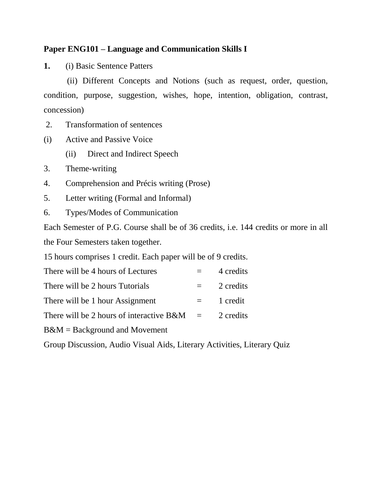#### **Paper ENG101 – Language and Communication Skills I**

**1.** (i) Basic Sentence Patters

 (ii) Different Concepts and Notions (such as request, order, question, condition, purpose, suggestion, wishes, hope, intention, obligation, contrast, concession)

- 2. Transformation of sentences
- (i) Active and Passive Voice
	- (ii) Direct and Indirect Speech
- 3. Theme-writing
- 4. Comprehension and Précis writing (Prose)
- 5. Letter writing (Formal and Informal)
- 6. Types/Modes of Communication

Each Semester of P.G. Course shall be of 36 credits, i.e. 144 credits or more in all the Four Semesters taken together.

15 hours comprises 1 credit. Each paper will be of 9 credits.

| There will be 4 hours of Lectures                                                                             |         | 4 credits |
|---------------------------------------------------------------------------------------------------------------|---------|-----------|
| There will be 2 hours Tutorials                                                                               |         | 2 credits |
| There will be 1 hour Assignment                                                                               | $=$ $-$ | 1 credit  |
| There will be 2 hours of interactive $B\&M =$                                                                 |         | 2 credits |
| $\mathbf{D} \theta \mathbf{M}$ $\mathbf{D}_{\text{eq}}$ $\mathbf{L}_{\text{eq}}$ and $\mathbf{L}_{\text{eq}}$ |         |           |

B&M = Background and Movement

Group Discussion, Audio Visual Aids, Literary Activities, Literary Quiz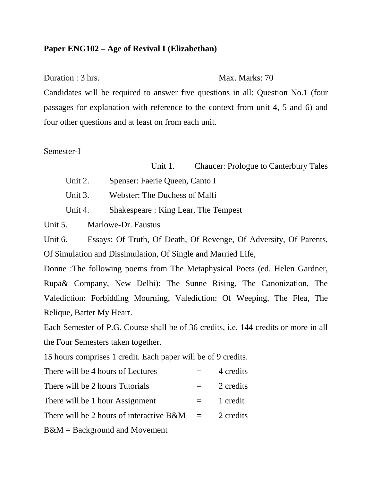#### **Paper ENG102 – Age of Revival I (Elizabethan)**

Duration : 3 hrs. Max. Marks: 70

Candidates will be required to answer five questions in all: Question No.1 (four passages for explanation with reference to the context from unit 4, 5 and 6) and four other questions and at least on from each unit.

Semester-I

Unit 1. Chaucer: Prologue to Canterbury Tales

- Unit 2. Spenser: Faerie Queen, Canto I
- Unit 3. Webster: The Duchess of Malfi
- Unit 4. Shakespeare : King Lear, The Tempest

Unit 5. Marlowe-Dr. Faustus

Unit 6. Essays: Of Truth, Of Death, Of Revenge, Of Adversity, Of Parents, Of Simulation and Dissimulation, Of Single and Married Life,

Donne :The following poems from The Metaphysical Poets (ed. Helen Gardner, Rupa& Company, New Delhi): The Sunne Rising, The Canonization, The Valediction: Forbidding Mourning, Valediction: Of Weeping, The Flea, The Relique, Batter My Heart.

Each Semester of P.G. Course shall be of 36 credits, i.e. 144 credits or more in all the Four Semesters taken together.

15 hours comprises 1 credit. Each paper will be of 9 credits.

| There will be 4 hours of Lectures             |     | 4 credits |
|-----------------------------------------------|-----|-----------|
| There will be 2 hours Tutorials               |     | 2 credits |
| There will be 1 hour Assignment               | $=$ | 1 credit  |
| There will be 2 hours of interactive $B\&M =$ |     | 2 credits |
|                                               |     |           |

B&M = Background and Movement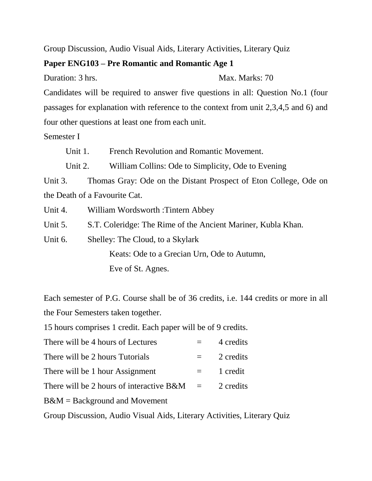Group Discussion, Audio Visual Aids, Literary Activities, Literary Quiz

#### **Paper ENG103 – Pre Romantic and Romantic Age 1**

Duration: 3 hrs. Max. Marks: 70

Candidates will be required to answer five questions in all: Question No.1 (four passages for explanation with reference to the context from unit 2,3,4,5 and 6) and four other questions at least one from each unit.

Semester I

Unit 1. French Revolution and Romantic Movement.

Unit 2. William Collins: Ode to Simplicity, Ode to Evening

Unit 3. Thomas Gray: Ode on the Distant Prospect of Eton College, Ode on the Death of a Favourite Cat.

Unit 4. William Wordsworth :Tintern Abbey

Unit 5. S.T. Coleridge: The Rime of the Ancient Mariner, Kubla Khan.

Unit 6. Shelley: The Cloud, to a Skylark Keats: Ode to a Grecian Urn, Ode to Autumn,

Eve of St. Agnes.

Each semester of P.G. Course shall be of 36 credits, i.e. 144 credits or more in all the Four Semesters taken together.

15 hours comprises 1 credit. Each paper will be of 9 credits.

| There will be 4 hours of Lectures |  | 4 credits |
|-----------------------------------|--|-----------|
|-----------------------------------|--|-----------|

| There will be 2 hours Tutorials |  |  | 2 credits |
|---------------------------------|--|--|-----------|
|---------------------------------|--|--|-----------|

- There will be 1 hour Assignment  $=$  1 credit
- There will be 2 hours of interactive  $B\&M = 2$  credits

B&M = Background and Movement

Group Discussion, Audio Visual Aids, Literary Activities, Literary Quiz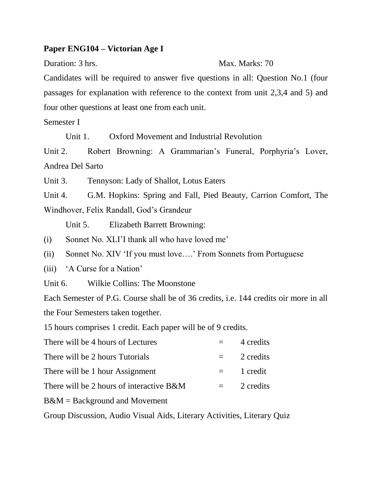#### **Paper ENG104 – Victorian Age I**

#### Duration: 3 hrs. Max. Marks: 70

Candidates will be required to answer five questions in all: Question No.1 (four passages for explanation with reference to the context from unit 2,3,4 and 5) and four other questions at least one from each unit.

Semester I

Unit 1. Oxford Movement and Industrial Revolution

Unit 2. Robert Browning: A Grammarian's Funeral, Porphyria's Lover, Andrea Del Sarto

Unit 3. Tennyson: Lady of Shallot, Lotus Eaters

Unit 4. G.M. Hopkins: Spring and Fall, Pied Beauty, Carrion Comfort, The Windhover, Felix Randall, God's Grandeur

Unit 5. Elizabeth Barrett Browning:

- (i) Sonnet No. XLI'I thank all who have loved me'
- (ii) Sonnet No. XIV 'If you must love….' From Sonnets from Portuguese
- (iii) 'A Curse for a Nation'
- Unit 6. Wilkie Collins: The Moonstone

Each Semester of P.G. Course shall be of 36 credits, i.e. 144 credits oir more in all the Four Semesters taken together.

15 hours comprises 1 credit. Each paper will be of 9 credits.

| There will be 4 hours of Lectures        |          | 4 credits     |
|------------------------------------------|----------|---------------|
| There will be 2 hours Tutorials          |          | $= 2$ credits |
| There will be 1 hour Assignment          | $\equiv$ | 1 credit      |
| There will be 2 hours of interactive B&M |          | 2 credits     |

B&M = Background and Movement

Group Discussion, Audio Visual Aids, Literary Activities, Literary Quiz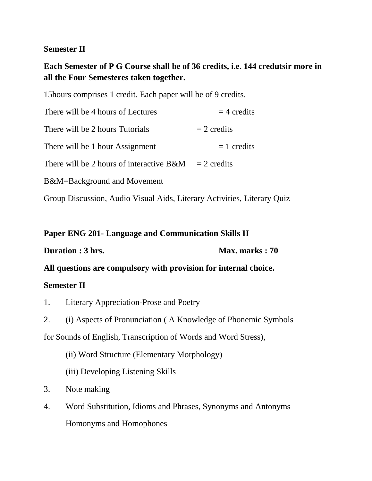#### **Semester II**

### **Each Semester of P G Course shall be of 36 credits, i.e. 144 credutsir more in all the Four Semesteres taken together.**

15hours comprises 1 credit. Each paper will be of 9 credits.

| There will be 4 hours of Lectures                                       | $=$ 4 credits |  |
|-------------------------------------------------------------------------|---------------|--|
| There will be 2 hours Tutorials                                         | $= 2$ credits |  |
| There will be 1 hour Assignment                                         | $= 1$ credits |  |
| There will be 2 hours of interactive B&M                                | $= 2$ credits |  |
| B&M=Background and Movement                                             |               |  |
| Group Discussion, Audio Visual Aids, Literary Activities, Literary Quiz |               |  |

#### **Paper ENG 201- Language and Communication Skills II**

**Duration : 3 hrs. Max. marks : 70** 

**All questions are compulsory with provision for internal choice.**

#### **Semester II**

1. Literary Appreciation-Prose and Poetry

2. (i) Aspects of Pronunciation ( A Knowledge of Phonemic Symbols for Sounds of English, Transcription of Words and Word Stress),

(ii) Word Structure (Elementary Morphology)

(iii) Developing Listening Skills

- 3. Note making
- 4. Word Substitution, Idioms and Phrases, Synonyms and Antonyms Homonyms and Homophones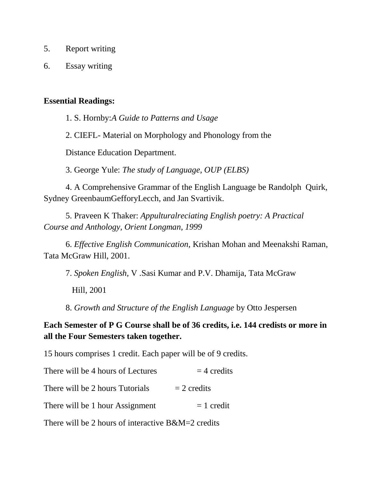- 5. Report writing
- 6. Essay writing

#### **Essential Readings:**

1. S. Hornby:*A Guide to Patterns and Usage*

2. CIEFL- Material on Morphology and Phonology from the

Distance Education Department.

3. George Yule: *The study of Language, OUP (ELBS)*

4. A Comprehensive Grammar of the English Language be Randolph Quirk, Sydney GreenbaumGefforyLecch, and Jan Svartivik.

5. Praveen K Thaker: *Appulturalreciating English poetry: A Practical Course and Anthology, Orient Longman, 1999*

6. *Effective English Communication,* Krishan Mohan and Meenakshi Raman, Tata McGraw Hill, 2001.

7. *Spoken English,* V .Sasi Kumar and P.V. Dhamija, Tata McGraw

Hill, 2001

8. *Growth and Structure of the English Language* by Otto Jespersen

**Each Semester of P G Course shall be of 36 credits, i.e. 144 credists or more in all the Four Semesters taken together.**

15 hours comprises 1 credit. Each paper will be of 9 credits.

| There will be 4 hours of Lectures                     | $=$ 4 credits |
|-------------------------------------------------------|---------------|
| There will be 2 hours Tutorials                       | $= 2$ credits |
| There will be 1 hour Assignment                       | $= 1$ credit  |
| There will be 2 hours of interactive $B\&M=2$ credits |               |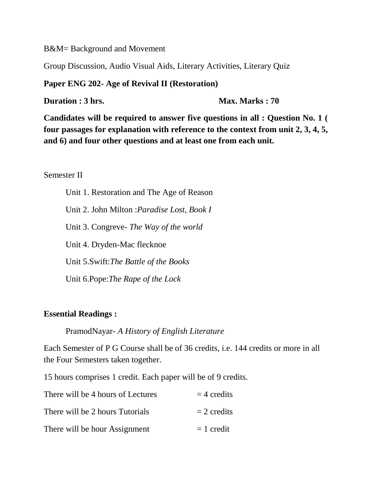B&M= Background and Movement

Group Discussion, Audio Visual Aids, Literary Activities, Literary Quiz

**Paper ENG 202- Age of Revival II (Restoration)**

**Duration : 3 hrs. Max. Marks : 70** 

**Candidates will be required to answer five questions in all : Question No. 1 ( four passages for explanation with reference to the context from unit 2, 3, 4, 5, and 6) and four other questions and at least one from each unit.**

#### Semester II

Unit 1. Restoration and The Age of Reason Unit 2. John Milton :*Paradise Lost, Book I* Unit 3. Congreve- *The Way of the world* Unit 4. Dryden-Mac flecknoe Unit 5.Swift:*The Battle of the Books* Unit 6.Pope:*The Rape of the Lock*

#### **Essential Readings :**

PramodNayar- *A History of English Literature*

Each Semester of P G Course shall be of 36 credits, i.e. 144 credits or more in all the Four Semesters taken together.

15 hours comprises 1 credit. Each paper will be of 9 credits.

| There will be 4 hours of Lectures | $=$ 4 credits |
|-----------------------------------|---------------|
| There will be 2 hours Tutorials   | $= 2$ credits |
| There will be hour Assignment     | $= 1$ credit  |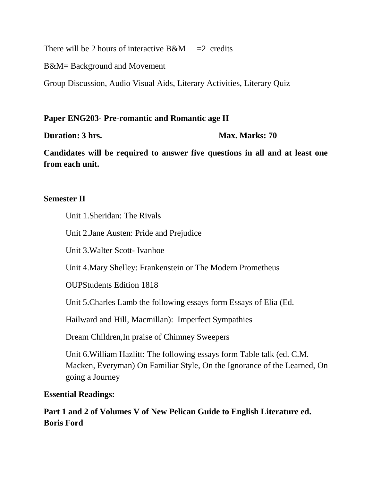There will be 2 hours of interactive  $B\&M = 2$  credits

B&M= Background and Movement

Group Discussion, Audio Visual Aids, Literary Activities, Literary Quiz

#### **Paper ENG203- Pre-romantic and Romantic age II**

**Duration: 3 hrs. Max. Marks: 70** 

**Candidates will be required to answer five questions in all and at least one from each unit.**

#### **Semester II**

Unit 1.Sheridan: The Rivals

Unit 2.Jane Austen: Pride and Prejudice

Unit 3.Walter Scott- Ivanhoe

Unit 4.Mary Shelley: Frankenstein or The Modern Prometheus

OUPStudents Edition 1818

Unit 5.Charles Lamb the following essays form Essays of Elia (Ed.

Hailward and Hill, Macmillan): Imperfect Sympathies

Dream Children,In praise of Chimney Sweepers

Unit 6.William Hazlitt: The following essays form Table talk (ed. C.M. Macken, Everyman) On Familiar Style, On the Ignorance of the Learned, On going a Journey

#### **Essential Readings:**

**Part 1 and 2 of Volumes V of New Pelican Guide to English Literature ed. Boris Ford**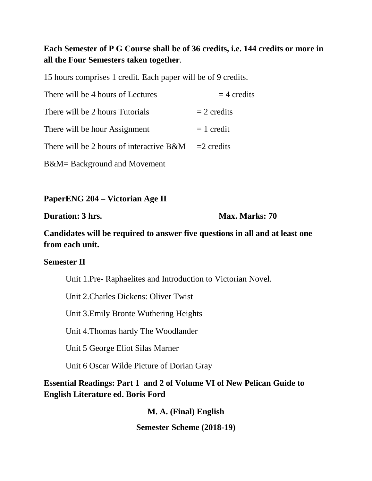#### **Each Semester of P G Course shall be of 36 credits, i.e. 144 credits or more in all the Four Semesters taken together**.

15 hours comprises 1 credit. Each paper will be of 9 credits.

| There will be 4 hours of Lectures                       | $=$ 4 credits |
|---------------------------------------------------------|---------------|
| There will be 2 hours Tutorials                         | $= 2$ credits |
| There will be hour Assignment                           | $= 1$ credit  |
| There will be 2 hours of interactive $B\&M = 2$ credits |               |
| B&M= Background and Movement                            |               |

**PaperENG 204 – Victorian Age II**

**Duration: 3 hrs. Max. Marks: 70** 

**Candidates will be required to answer five questions in all and at least one from each unit.**

#### **Semester II**

Unit 1.Pre- Raphaelites and Introduction to Victorian Novel.

Unit 2.Charles Dickens: Oliver Twist

Unit 3.Emily Bronte Wuthering Heights

Unit 4.Thomas hardy The Woodlander

Unit 5 George Eliot Silas Marner

Unit 6 Oscar Wilde Picture of Dorian Gray

#### **Essential Readings: Part 1 and 2 of Volume VI of New Pelican Guide to English Literature ed. Boris Ford**

**M. A. (Final) English Semester Scheme (2018-19)**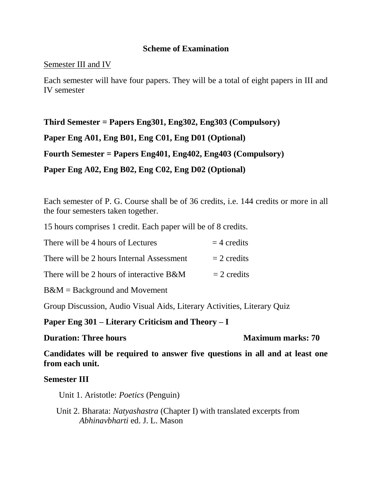#### **Scheme of Examination**

#### Semester III and IV

Each semester will have four papers. They will be a total of eight papers in III and IV semester

**Third Semester = Papers Eng301, Eng302, Eng303 (Compulsory) Paper Eng A01, Eng B01, Eng C01, Eng D01 (Optional) Fourth Semester = Papers Eng401, Eng402, Eng403 (Compulsory) Paper Eng A02, Eng B02, Eng C02, Eng D02 (Optional)**

Each semester of P. G. Course shall be of 36 credits, i.e. 144 credits or more in all the four semesters taken together.

15 hours comprises 1 credit. Each paper will be of 8 credits.

| There will be 4 hours of Lectures         | $=$ 4 credits |
|-------------------------------------------|---------------|
| There will be 2 hours Internal Assessment | $= 2$ credits |
| There will be 2 hours of interactive B&M  | $= 2$ credits |

B&M = Background and Movement

Group Discussion, Audio Visual Aids, Literary Activities, Literary Quiz

#### **Paper Eng 301 – Literary Criticism and Theory – I**

#### **Duration: Three hours Maximum marks: 70**

**Candidates will be required to answer five questions in all and at least one from each unit.**

#### **Semester III**

Unit 1. Aristotle: *Poetics* (Penguin)

 Unit 2. Bharata: *Natyashastra* (Chapter I) with translated excerpts from *Abhinavbharti* ed. J. L. Mason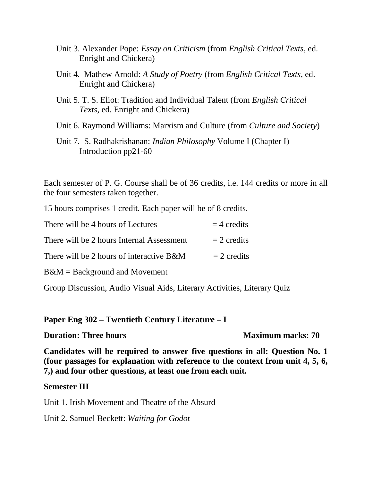- Unit 3. Alexander Pope: *Essay on Criticism* (from *English Critical Texts*, ed. Enright and Chickera)
- Unit 4. Mathew Arnold: *A Study of Poetry* (from *English Critical Texts*, ed. Enright and Chickera)
- Unit 5. T. S. Eliot: Tradition and Individual Talent (from *English Critical Texts*, ed. Enright and Chickera)
- Unit 6. Raymond Williams: Marxism and Culture (from *Culture and Society*)
- Unit 7. S. Radhakrishanan: *Indian Philosophy* Volume I (Chapter I) Introduction pp21-60

Each semester of P. G. Course shall be of 36 credits, i.e. 144 credits or more in all the four semesters taken together.

15 hours comprises 1 credit. Each paper will be of 8 credits.

| There will be 4 hours of Lectures         | $=$ 4 credits |
|-------------------------------------------|---------------|
| There will be 2 hours Internal Assessment | $= 2$ credits |
| There will be 2 hours of interactive B&M  | $= 2$ credits |
| $B\&M =$ Background and Movement          |               |

Group Discussion, Audio Visual Aids, Literary Activities, Literary Quiz

**Paper Eng 302 – Twentieth Century Literature – I**

**Duration: Three hours Maximum marks: 70** 

**Candidates will be required to answer five questions in all: Question No. 1 (four passages for explanation with reference to the context from unit 4, 5, 6, 7,) and four other questions, at least one from each unit.**

#### **Semester III**

Unit 1. Irish Movement and Theatre of the Absurd

Unit 2. Samuel Beckett: *Waiting for Godot*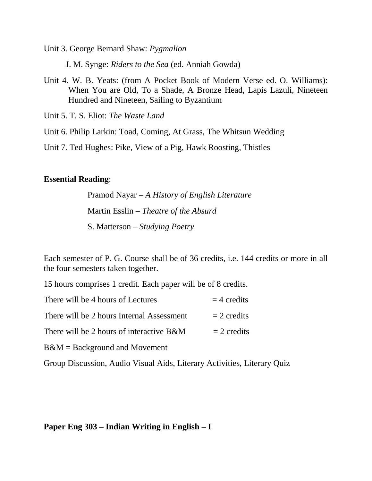Unit 3. George Bernard Shaw: *Pygmalion*

J. M. Synge: *Riders to the Sea* (ed. Anniah Gowda)

Unit 4. W. B. Yeats: (from A Pocket Book of Modern Verse ed. O. Williams): When You are Old, To a Shade, A Bronze Head, Lapis Lazuli, Nineteen Hundred and Nineteen, Sailing to Byzantium

Unit 5. T. S. Eliot: *The Waste Land*

Unit 6. Philip Larkin: Toad, Coming, At Grass, The Whitsun Wedding

Unit 7. Ted Hughes: Pike, View of a Pig, Hawk Roosting, Thistles

#### **Essential Reading**:

Pramod Nayar – *A History of English Literature* Martin Esslin – *Theatre of the Absurd* S. Matterson – *Studying Poetry*

Each semester of P. G. Course shall be of 36 credits, i.e. 144 credits or more in all the four semesters taken together.

15 hours comprises 1 credit. Each paper will be of 8 credits.

| There will be 4 hours of Lectures         | $=$ 4 credits |
|-------------------------------------------|---------------|
| There will be 2 hours Internal Assessment | $= 2$ credits |
| There will be 2 hours of interactive B&M  | $= 2$ credits |
| $B\&M =$ Background and Movement          |               |

Group Discussion, Audio Visual Aids, Literary Activities, Literary Quiz

#### **Paper Eng 303 – Indian Writing in English – I**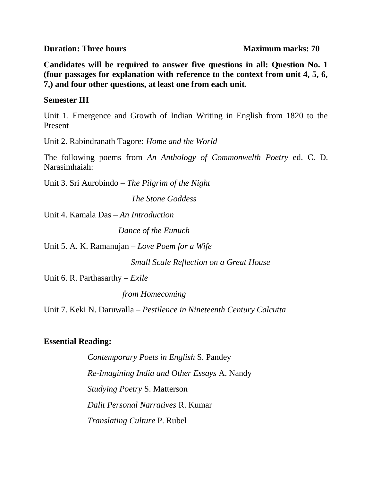**Duration: Three hours Maximum marks: 70** 

**Candidates will be required to answer five questions in all: Question No. 1 (four passages for explanation with reference to the context from unit 4, 5, 6, 7,) and four other questions, at least one from each unit.**

#### **Semester III**

Unit 1. Emergence and Growth of Indian Writing in English from 1820 to the Present

Unit 2. Rabindranath Tagore: *Home and the World*

The following poems from *An Anthology of Commonwelth Poetry* ed. C. D. Narasimhaiah:

Unit 3. Sri Aurobindo – *The Pilgrim of the Night*

*The Stone Goddess*

Unit 4. Kamala Das – *An Introduction*

 *Dance of the Eunuch*

Unit 5. A. K. Ramanujan – *Love Poem for a Wife*

 *Small Scale Reflection on a Great House* 

Unit 6. R. Parthasarthy – *Exile*

 *from Homecoming*

Unit 7. Keki N. Daruwalla – *Pestilence in Nineteenth Century Calcutta*

#### **Essential Reading:**

*Contemporary Poets in English* S. Pandey *Re-Imagining India and Other Essays* A. Nandy *Studying Poetry* S. Matterson *Dalit Personal Narratives* R. Kumar *Translating Culture* P. Rubel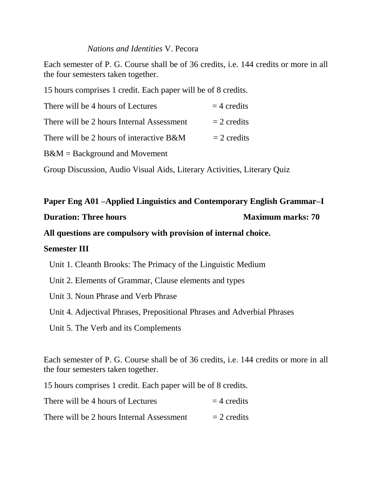#### *Nations and Identities* V. Pecora

Each semester of P. G. Course shall be of 36 credits, i.e. 144 credits or more in all the four semesters taken together.

15 hours comprises 1 credit. Each paper will be of 8 credits.

| There will be 4 hours of Lectures         | $=$ 4 credits |
|-------------------------------------------|---------------|
| There will be 2 hours Internal Assessment | $= 2$ credits |
| There will be 2 hours of interactive B&M  | $= 2$ credits |
| $B\&M =$ Background and Movement          |               |

Group Discussion, Audio Visual Aids, Literary Activities, Literary Quiz

#### **Paper Eng A01 –Applied Linguistics and Contemporary English Grammar–I**

#### **Duration: Three hours Maximum marks: 70**

**All questions are compulsory with provision of internal choice.**

#### **Semester III**

Unit 1. Cleanth Brooks: The Primacy of the Linguistic Medium

- Unit 2. Elements of Grammar, Clause elements and types
- Unit 3. Noun Phrase and Verb Phrase

Unit 4. Adjectival Phrases, Prepositional Phrases and Adverbial Phrases

Unit 5. The Verb and its Complements

Each semester of P. G. Course shall be of 36 credits, i.e. 144 credits or more in all the four semesters taken together.

15 hours comprises 1 credit. Each paper will be of 8 credits.

| There will be 4 hours of Lectures         | $=$ 4 credits |
|-------------------------------------------|---------------|
| There will be 2 hours Internal Assessment | $= 2$ credits |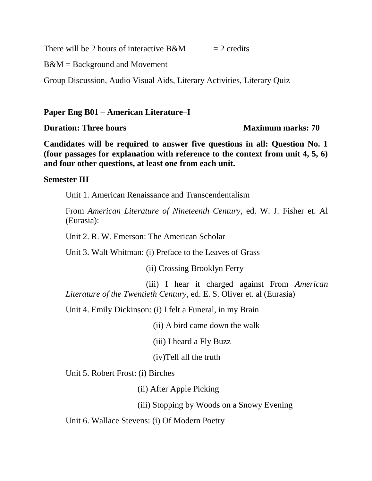There will be 2 hours of interactive  $B\&M = 2$  credits

B&M = Background and Movement

Group Discussion, Audio Visual Aids, Literary Activities, Literary Quiz

#### **Paper Eng B01 – American Literature–I**

**Duration: Three hours Maximum marks: 70** 

**Candidates will be required to answer five questions in all: Question No. 1 (four passages for explanation with reference to the context from unit 4, 5, 6) and four other questions, at least one from each unit.**

#### **Semester III**

Unit 1. American Renaissance and Transcendentalism

From *American Literature of Nineteenth Century*, ed. W. J. Fisher et. Al (Eurasia):

Unit 2. R. W. Emerson: The American Scholar

Unit 3. Walt Whitman: (i) Preface to the Leaves of Grass

(ii) Crossing Brooklyn Ferry

 (iii) I hear it charged against From *American Literature of the Twentieth Century*, ed. E. S. Oliver et. al (Eurasia)

Unit 4. Emily Dickinson: (i) I felt a Funeral, in my Brain

(ii) A bird came down the walk

(iii) I heard a Fly Buzz

(iv)Tell all the truth

Unit 5. Robert Frost: (i) Birches

(ii) After Apple Picking

(iii) Stopping by Woods on a Snowy Evening

Unit 6. Wallace Stevens: (i) Of Modern Poetry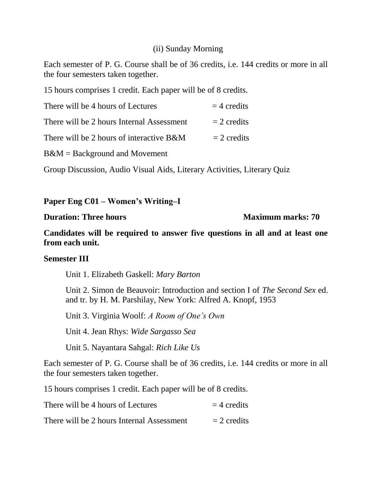#### (ii) Sunday Morning

Each semester of P. G. Course shall be of 36 credits, i.e. 144 credits or more in all the four semesters taken together.

15 hours comprises 1 credit. Each paper will be of 8 credits.

| There will be 4 hours of Lectures         | $=$ 4 credits |
|-------------------------------------------|---------------|
| There will be 2 hours Internal Assessment | $= 2$ credits |
| There will be 2 hours of interactive B&M  | $= 2$ credits |
| $B\&M =$ Background and Movement          |               |

Group Discussion, Audio Visual Aids, Literary Activities, Literary Quiz

#### **Paper Eng C01 – Women's Writing–I**

#### **Duration: Three hours Maximum marks: 70**

**Candidates will be required to answer five questions in all and at least one from each unit.**

#### **Semester III**

Unit 1. Elizabeth Gaskell: *Mary Barton*

Unit 2. Simon de Beauvoir: Introduction and section I of *The Second Sex* ed. and tr. by H. M. Parshilay, New York: Alfred A. Knopf, 1953

Unit 3. Virginia Woolf: *A Room of One's Own*

Unit 4. Jean Rhys: *Wide Sargasso Sea*

Unit 5. Nayantara Sahgal: *Rich Like Us*

Each semester of P. G. Course shall be of 36 credits, i.e. 144 credits or more in all the four semesters taken together.

15 hours comprises 1 credit. Each paper will be of 8 credits.

| There will be 4 hours of Lectures         | $=$ 4 credits |
|-------------------------------------------|---------------|
| There will be 2 hours Internal Assessment | $= 2$ credits |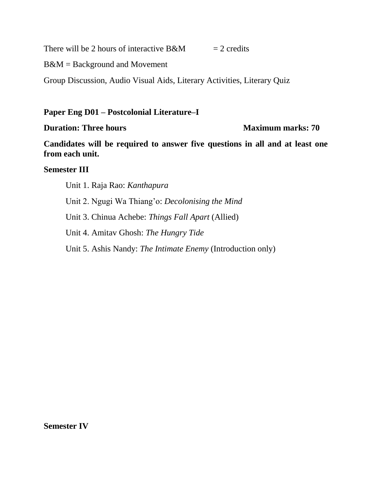There will be 2 hours of interactive B&M  $= 2$  credits

B&M = Background and Movement

Group Discussion, Audio Visual Aids, Literary Activities, Literary Quiz

#### **Paper Eng D01 – Postcolonial Literature–I**

#### **Duration: Three hours Maximum marks: 70**

**Candidates will be required to answer five questions in all and at least one from each unit.**

#### **Semester III**

Unit 1. Raja Rao: *Kanthapura* Unit 2. Ngugi Wa Thiang'o: *Decolonising the Mind* Unit 3. Chinua Achebe: *Things Fall Apart* (Allied) Unit 4. Amitav Ghosh: *The Hungry Tide* Unit 5. Ashis Nandy: *The Intimate Enemy* (Introduction only)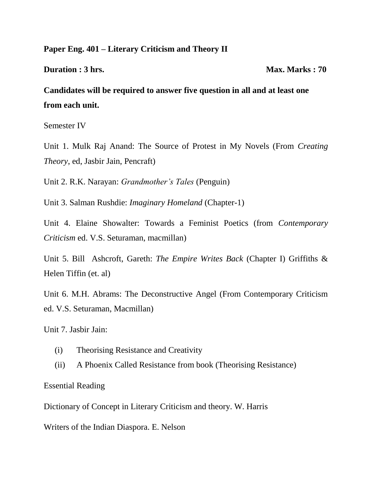#### **Paper Eng. 401 – Literary Criticism and Theory II**

**Duration : 3 hrs.** Max. Marks : 70

**Candidates will be required to answer five question in all and at least one from each unit.**

Semester IV

Unit 1. Mulk Raj Anand: The Source of Protest in My Novels (From *Creating Theory*, ed, Jasbir Jain, Pencraft)

Unit 2. R.K. Narayan: *Grandmother's Tales* (Penguin)

Unit 3. Salman Rushdie: *Imaginary Homeland* (Chapter-1)

Unit 4. Elaine Showalter: Towards a Feminist Poetics (from *Contemporary Criticism* ed. V.S. Seturaman, macmillan)

Unit 5. Bill Ashcroft, Gareth: *The Empire Writes Back* (Chapter I) Griffiths & Helen Tiffin (et. al)

Unit 6. M.H. Abrams: The Deconstructive Angel (From Contemporary Criticism ed. V.S. Seturaman, Macmillan)

Unit 7. Jasbir Jain:

- (i) Theorising Resistance and Creativity
- (ii) A Phoenix Called Resistance from book (Theorising Resistance)

Essential Reading

Dictionary of Concept in Literary Criticism and theory. W. Harris

Writers of the Indian Diaspora. E. Nelson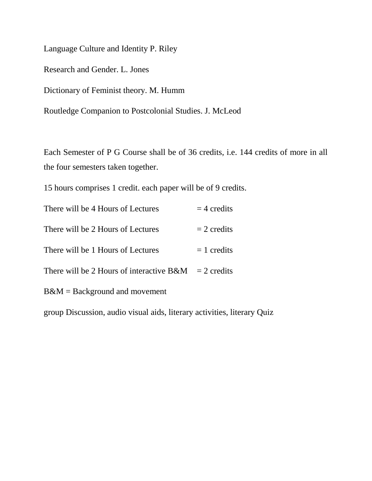Language Culture and Identity P. Riley

Research and Gender. L. Jones

Dictionary of Feminist theory. M. Humm

Routledge Companion to Postcolonial Studies. J. McLeod

Each Semester of P G Course shall be of 36 credits, i.e. 144 credits of more in all the four semesters taken together.

15 hours comprises 1 credit. each paper will be of 9 credits.

| There will be 4 Hours of Lectures           | $=$ 4 credits |
|---------------------------------------------|---------------|
| There will be 2 Hours of Lectures           | $= 2$ credits |
| There will be 1 Hours of Lectures           | $=$ 1 credits |
| There will be 2 Hours of interactive $B\&M$ | $= 2$ credits |
| $B\&M =$ Background and movement            |               |

group Discussion, audio visual aids, literary activities, literary Quiz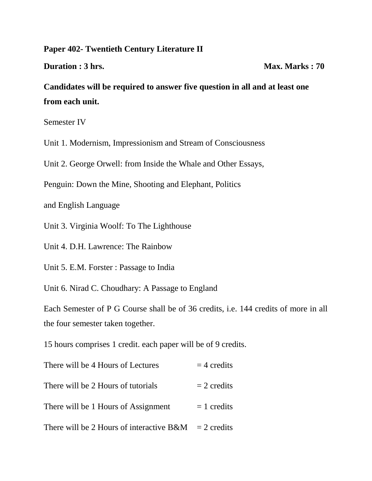#### **Paper 402- Twentieth Century Literature II**

**Duration : 3 hrs.** Max. Marks : 70

**Candidates will be required to answer five question in all and at least one from each unit.**

Semester IV

Unit 1. Modernism, Impressionism and Stream of Consciousness

Unit 2. George Orwell: from Inside the Whale and Other Essays,

Penguin: Down the Mine, Shooting and Elephant, Politics

and English Language

Unit 3. Virginia Woolf: To The Lighthouse

Unit 4. D.H. Lawrence: The Rainbow

Unit 5. E.M. Forster : Passage to India

Unit 6. Nirad C. Choudhary: A Passage to England

Each Semester of P G Course shall be of 36 credits, i.e. 144 credits of more in all the four semester taken together.

15 hours comprises 1 credit. each paper will be of 9 credits.

| There will be 4 Hours of Lectures                       | $=$ 4 credits |
|---------------------------------------------------------|---------------|
| There will be 2 Hours of tutorials                      | $= 2$ credits |
| There will be 1 Hours of Assignment                     | $= 1$ credits |
| There will be 2 Hours of interactive $B\&M = 2$ credits |               |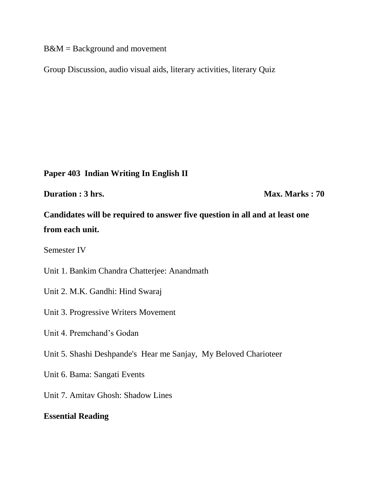B&M = Background and movement

Group Discussion, audio visual aids, literary activities, literary Quiz

#### **Paper 403 Indian Writing In English II**

**Duration : 3 hrs.** Max. Marks : 70

**Candidates will be required to answer five question in all and at least one from each unit.**

Semester IV

Unit 1. Bankim Chandra Chatterjee: Anandmath

- Unit 2. M.K. Gandhi: Hind Swaraj
- Unit 3. Progressive Writers Movement
- Unit 4. Premchand's Godan
- Unit 5. Shashi Deshpande's Hear me Sanjay, My Beloved Charioteer
- Unit 6. Bama: Sangati Events
- Unit 7. Amitav Ghosh: Shadow Lines

#### **Essential Reading**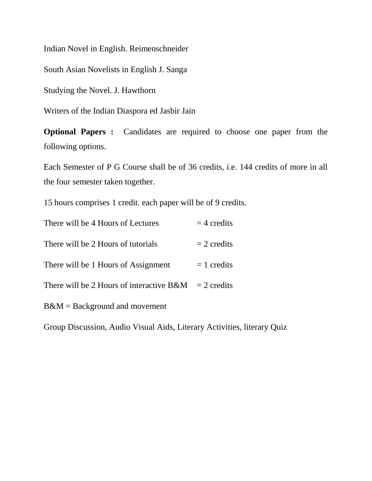Indian Novel in English. Reimenschneider

South Asian Novelists in English J. Sanga

Studying the Novel. J. Hawthorn

Writers of the Indian Diaspora ed Jasbir Jain

**Optional Papers :** Candidates are required to choose one paper from the following options.

Each Semester of P G Course shall be of 36 credits, i.e. 144 credits of more in all the four semester taken together.

15 hours comprises 1 credit. each paper will be of 9 credits.

| There will be 4 Hours of Lectures        | $=$ 4 credits |
|------------------------------------------|---------------|
| There will be 2 Hours of tutorials       | $= 2$ credits |
| There will be 1 Hours of Assignment      | $= 1$ credits |
| There will be 2 Hours of interactive B&M | $= 2$ credits |
| $B\&M =$ Background and movement         |               |

Group Discussion, Audio Visual Aids, Literary Activities, literary Quiz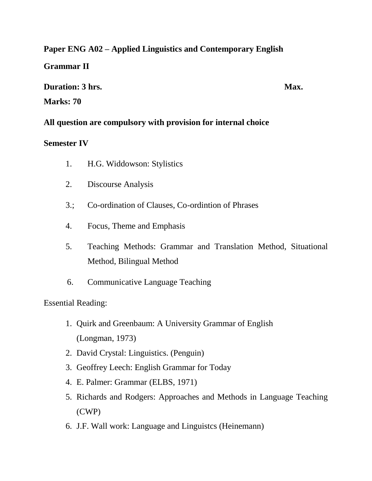#### **Paper ENG A02 – Applied Linguistics and Contemporary English**

#### **Grammar II**

#### **Duration: 3 hrs.** Max.

#### **Marks: 70**

#### **All question are compulsory with provision for internal choice**

#### **Semester IV**

- 1. H.G. Widdowson: Stylistics
- 2. Discourse Analysis
- 3.; Co-ordination of Clauses, Co-ordintion of Phrases
- 4. Focus, Theme and Emphasis
- 5. Teaching Methods: Grammar and Translation Method, Situational Method, Bilingual Method
- 6. Communicative Language Teaching

Essential Reading:

- 1. Quirk and Greenbaum: A University Grammar of English (Longman, 1973)
- 2. David Crystal: Linguistics. (Penguin)
- 3. Geoffrey Leech: English Grammar for Today
- 4. E. Palmer: Grammar (ELBS, 1971)
- 5. Richards and Rodgers: Approaches and Methods in Language Teaching (CWP)
- 6. J.F. Wall work: Language and Linguistcs (Heinemann)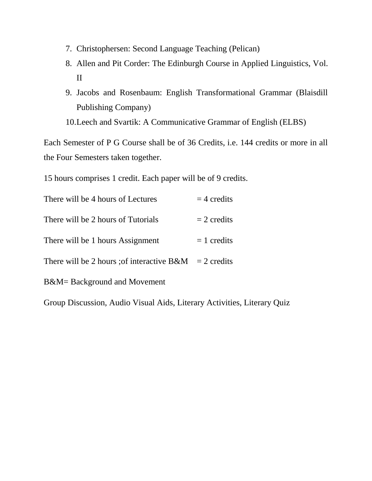- 7. Christophersen: Second Language Teaching (Pelican)
- 8. Allen and Pit Corder: The Edinburgh Course in Applied Linguistics, Vol. II
- 9. Jacobs and Rosenbaum: English Transformational Grammar (Blaisdill Publishing Company)

10.Leech and Svartik: A Communicative Grammar of English (ELBS)

Each Semester of P G Course shall be of 36 Credits, i.e. 144 credits or more in all the Four Semesters taken together.

15 hours comprises 1 credit. Each paper will be of 9 credits.

| There will be 4 hours of Lectures          | $=$ 4 credits |
|--------------------------------------------|---------------|
| There will be 2 hours of Tutorials         | $= 2$ credits |
| There will be 1 hours Assignment           | $= 1$ credits |
| There will be 2 hours ; of interactive B&M | $= 2$ credits |
| B&M= Background and Movement               |               |

Group Discussion, Audio Visual Aids, Literary Activities, Literary Quiz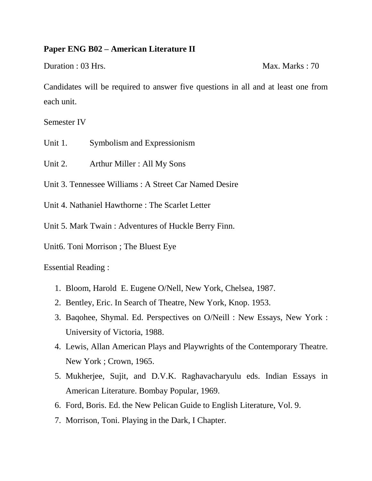#### **Paper ENG B02 – American Literature II**

Duration : 03 Hrs. Max. Marks : 70

Candidates will be required to answer five questions in all and at least one from each unit.

Semester IV

- Unit 1. Symbolism and Expressionism
- Unit 2. Arthur Miller : All My Sons

Unit 3. Tennessee Williams : A Street Car Named Desire

Unit 4. Nathaniel Hawthorne : The Scarlet Letter

Unit 5. Mark Twain : Adventures of Huckle Berry Finn.

Unit6. Toni Morrison ; The Bluest Eye

Essential Reading :

- 1. Bloom, Harold E. Eugene O/Nell, New York, Chelsea, 1987.
- 2. Bentley, Eric. In Search of Theatre, New York, Knop. 1953.
- 3. Baqohee, Shymal. Ed. Perspectives on O/Neill : New Essays, New York : University of Victoria, 1988.
- 4. Lewis, Allan American Plays and Playwrights of the Contemporary Theatre. New York ; Crown, 1965.
- 5. Mukherjee, Sujit, and D.V.K. Raghavacharyulu eds. Indian Essays in American Literature. Bombay Popular, 1969.
- 6. Ford, Boris. Ed. the New Pelican Guide to English Literature, Vol. 9.
- 7. Morrison, Toni. Playing in the Dark, I Chapter.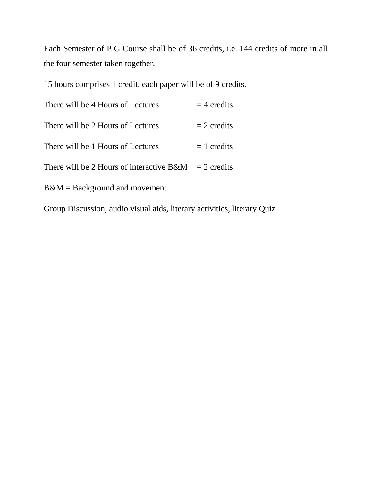Each Semester of P G Course shall be of 36 credits, i.e. 144 credits of more in all the four semester taken together.

15 hours comprises 1 credit. each paper will be of 9 credits.

| There will be 4 Hours of Lectures                       | $=$ 4 credits |
|---------------------------------------------------------|---------------|
| There will be 2 Hours of Lectures                       | $= 2$ credits |
| There will be 1 Hours of Lectures                       | $= 1$ credits |
| There will be 2 Hours of interactive $B\&M = 2$ credits |               |
| $B\&M =$ Background and movement                        |               |

Group Discussion, audio visual aids, literary activities, literary Quiz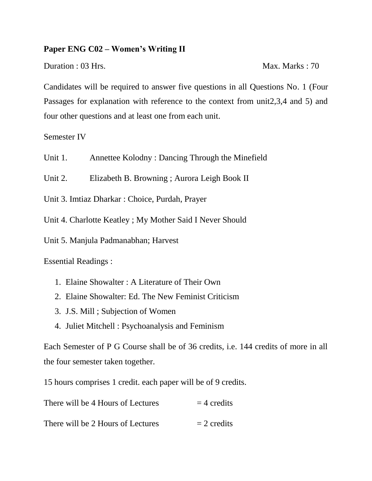#### **Paper ENG C02 – Women's Writing II**

Duration : 03 Hrs. Max. Marks : 70

Candidates will be required to answer five questions in all Questions No. 1 (Four Passages for explanation with reference to the context from unit2,3,4 and 5) and four other questions and at least one from each unit.

Semester IV

Unit 1. Annettee Kolodny : Dancing Through the Minefield

Unit 2. Elizabeth B. Browning ; Aurora Leigh Book II

Unit 3. Imtiaz Dharkar : Choice, Purdah, Prayer

Unit 4. Charlotte Keatley ; My Mother Said I Never Should

Unit 5. Manjula Padmanabhan; Harvest

Essential Readings :

- 1. Elaine Showalter : A Literature of Their Own
- 2. Elaine Showalter: Ed. The New Feminist Criticism
- 3. J.S. Mill ; Subjection of Women
- 4. Juliet Mitchell : Psychoanalysis and Feminism

Each Semester of P G Course shall be of 36 credits, i.e. 144 credits of more in all the four semester taken together.

15 hours comprises 1 credit. each paper will be of 9 credits.

| There will be 4 Hours of Lectures | $=$ 4 credits |
|-----------------------------------|---------------|
| There will be 2 Hours of Lectures | $= 2$ credits |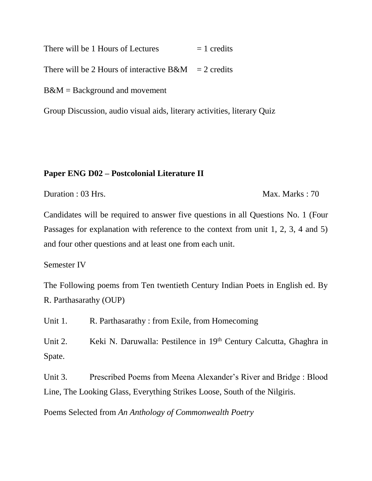There will be 1 Hours of Lectures  $= 1$  credits

There will be 2 Hours of interactive  $B\&M = 2$  credits

B&M = Background and movement

Group Discussion, audio visual aids, literary activities, literary Quiz

#### **Paper ENG D02 – Postcolonial Literature II**

Duration : 03 Hrs. Max. Marks : 70

Candidates will be required to answer five questions in all Questions No. 1 (Four Passages for explanation with reference to the context from unit 1, 2, 3, 4 and 5) and four other questions and at least one from each unit.

Semester IV

The Following poems from Ten twentieth Century Indian Poets in English ed. By R. Parthasarathy (OUP)

Unit 1. R. Parthasarathy : from Exile, from Homecoming

Unit 2. Keki N. Daruwalla: Pestilence in 19<sup>th</sup> Century Calcutta, Ghaghra in Spate.

Unit 3. Prescribed Poems from Meena Alexander's River and Bridge : Blood Line, The Looking Glass, Everything Strikes Loose, South of the Nilgiris.

Poems Selected from *An Anthology of Commonwealth Poetry*